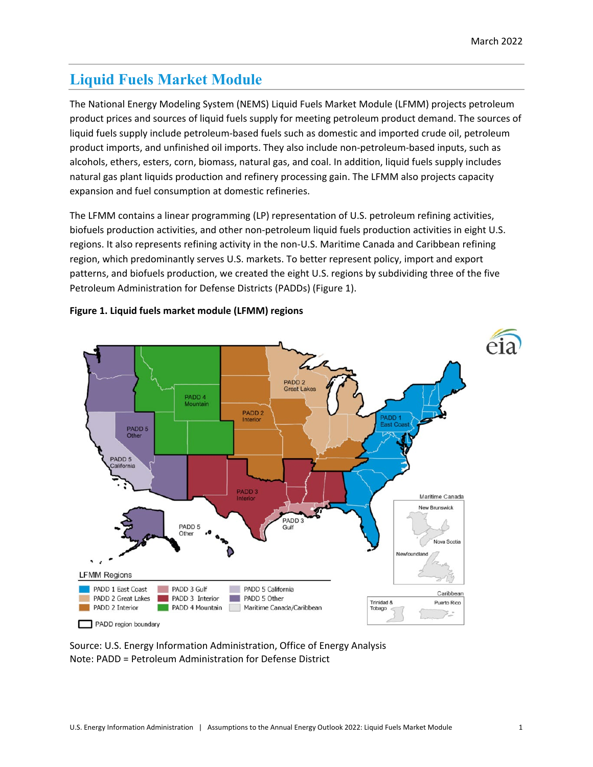# **Liquid Fuels Market Module**

The National Energy Modeling System (NEMS) Liquid Fuels Market Module (LFMM) projects petroleum product prices and sources of liquid fuels supply for meeting petroleum product demand. The sources of liquid fuels supply include petroleum-based fuels such as domestic and imported crude oil, petroleum product imports, and unfinished oil imports. They also include non-petroleum-based inputs, such as alcohols, ethers, esters, corn, biomass, natural gas, and coal. In addition, liquid fuels supply includes natural gas plant liquids production and refinery processing gain. The LFMM also projects capacity expansion and fuel consumption at domestic refineries.

The LFMM contains a linear programming (LP) representation of U.S. petroleum refining activities, biofuels production activities, and other non-petroleum liquid fuels production activities in eight U.S. regions. It also represents refining activity in the non-U.S. Maritime Canada and Caribbean refining region, which predominantly serves U.S. markets. To better represent policy, import and export patterns, and biofuels production, we created the eight U.S. regions by subdividing three of the five Petroleum Administration for Defense Districts (PADDs) (Figure 1).



### **Figure 1. Liquid fuels market module (LFMM) regions**

Source: U.S. Energy Information Administration, Office of Energy Analysis Note: PADD = Petroleum Administration for Defense District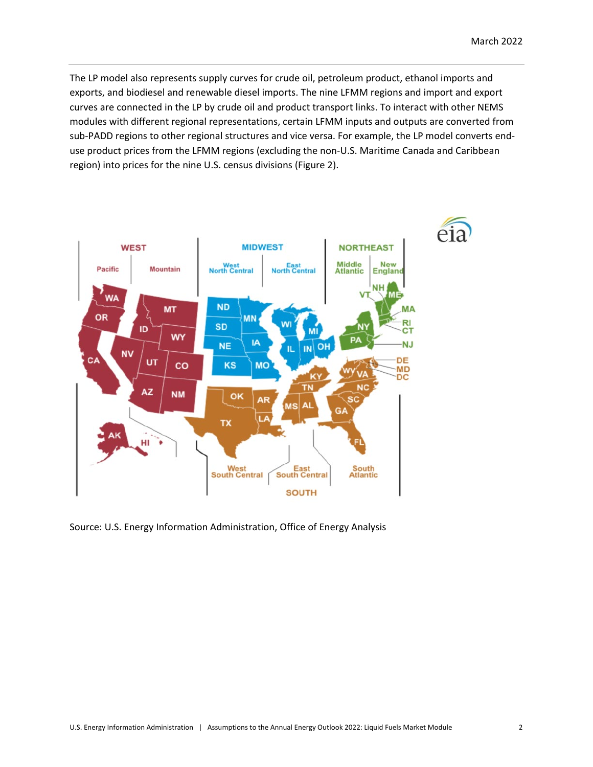The LP model also represents supply curves for crude oil, petroleum product, ethanol imports and exports, and biodiesel and renewable diesel imports. The nine LFMM regions and import and export curves are connected in the LP by crude oil and product transport links. To interact with other NEMS modules with different regional representations, certain LFMM inputs and outputs are converted from sub-PADD regions to other regional structures and vice versa. For example, the LP model converts enduse product prices from the LFMM regions (excluding the non-U.S. Maritime Canada and Caribbean region) into prices for the nine U.S. census divisions (Figure 2).



Source: U.S. Energy Information Administration, Office of Energy Analysis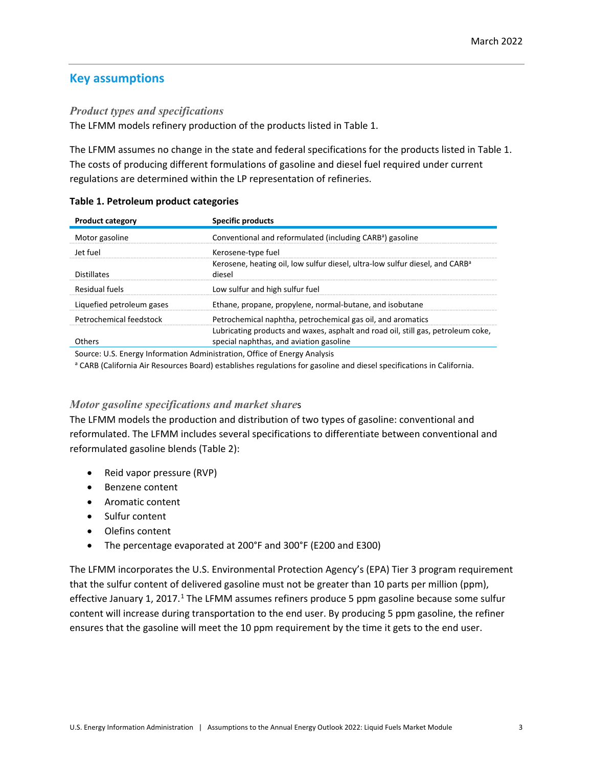# **Key assumptions**

### *Product types and specifications*

The LFMM models refinery production of the products listed in Table 1.

The LFMM assumes no change in the state and federal specifications for the products listed in Table 1. The costs of producing different formulations of gasoline and diesel fuel required under current regulations are determined within the LP representation of refineries.

| <b>Product category</b>   | Specific products                                                                                                           |
|---------------------------|-----------------------------------------------------------------------------------------------------------------------------|
| Motor gasoline            | Conventional and reformulated (including CARB <sup>a</sup> ) gasoline                                                       |
| let fuel                  | Kerosene-type fuel                                                                                                          |
| <b>Distillates</b>        | Kerosene, heating oil, low sulfur diesel, ultra-low sulfur diesel, and CARB <sup>a</sup><br>diesel                          |
| Residual fuels            | Low sulfur and high sulfur fuel                                                                                             |
| Liquefied petroleum gases | Ethane, propane, propylene, normal-butane, and isobutane                                                                    |
| Petrochemical feedstock   | Petrochemical naphtha, petrochemical gas oil, and aromatics                                                                 |
| Others                    | Lubricating products and waxes, asphalt and road oil, still gas, petroleum coke,<br>special naphthas, and aviation gasoline |

#### **Table 1. Petroleum product categories**

Source: U.S. Energy Information Administration, Office of Energy Analysis

a CARB (California Air Resources Board) establishes regulations for gasoline and diesel specifications in California.

### *Motor gasoline specifications and market share*s

The LFMM models the production and distribution of two types of gasoline: conventional and reformulated. The LFMM includes several specifications to differentiate between conventional and reformulated gasoline blends (Table 2):

- Reid vapor pressure (RVP)
- Benzene content
- Aromatic content
- Sulfur content
- Olefins content
- The percentage evaporated at 200°F and 300°F (E200 and E300)

The LFMM incorporates the U.S. Environmental Protection Agency's (EPA) Tier 3 program requirement that the sulfur content of delivered gasoline must not be greater than 10 parts per million (ppm), effective January [1](#page-21-0), 2017.<sup>1</sup> The LFMM assumes refiners produce 5 ppm gasoline because some sulfur content will increase during transportation to the end user. By producing 5 ppm gasoline, the refiner ensures that the gasoline will meet the 10 ppm requirement by the time it gets to the end user.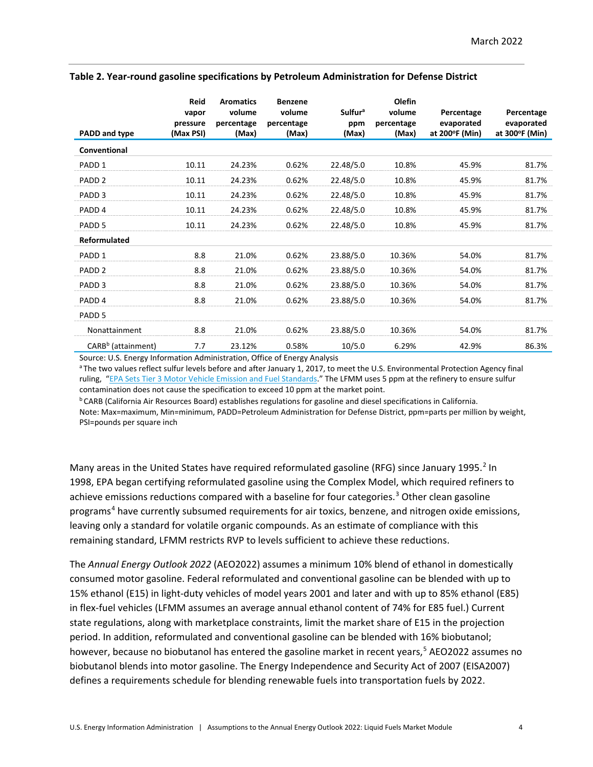| PADD and type                  | <b>Reid</b><br>vapor<br>pressure<br>(Max PSI) | <b>Aromatics</b><br>volume<br>percentage<br>(Max) | <b>Benzene</b><br>volume<br>percentage<br>(Max) | <b>Sulfur<sup>a</sup></b><br>ppm<br>(Max) | Olefin<br>volume<br>percentage<br>(Max) | Percentage<br>evaporated<br>at 200°F (Min) | Percentage<br>evaporated<br>at 300°F (Min) |
|--------------------------------|-----------------------------------------------|---------------------------------------------------|-------------------------------------------------|-------------------------------------------|-----------------------------------------|--------------------------------------------|--------------------------------------------|
| Conventional                   |                                               |                                                   |                                                 |                                           |                                         |                                            |                                            |
| PADD <sub>1</sub>              | 10.11                                         | 24.23%                                            | 0.62%                                           | 22.48/5.0                                 | 10.8%                                   | 45.9%                                      | 81.7%                                      |
| PADD <sub>2</sub>              | 10.11                                         | 24.23%                                            | 0.62%                                           | 22.48/5.0                                 | 10.8%                                   | 45.9%                                      | 81.7%                                      |
| PADD <sub>3</sub>              | 10.11                                         | 24.23%                                            | 0.62%                                           | 22.48/5.0                                 | 10.8%                                   | 45.9%                                      | 81.7%                                      |
| PADD <sub>4</sub>              | 10.11                                         | 24.23%                                            | 0.62%                                           | 22.48/5.0                                 | 10.8%                                   | 45.9%                                      | 81.7%                                      |
| PADD <sub>5</sub>              | 10.11                                         | 24.23%                                            | 0.62%                                           | 22.48/5.0                                 | 10.8%                                   | 45.9%                                      | 81.7%                                      |
| Reformulated                   |                                               |                                                   |                                                 |                                           |                                         |                                            |                                            |
| PADD <sub>1</sub>              | 8.8                                           | 21.0%                                             | 0.62%                                           | 23.88/5.0                                 | 10.36%                                  | 54.0%                                      | 81.7%                                      |
| PADD <sub>2</sub>              | 8.8                                           | 21.0%                                             | 0.62%                                           | 23.88/5.0                                 | 10.36%                                  | 54.0%                                      | 81.7%                                      |
| PADD <sub>3</sub>              | 8.8                                           | 21.0%                                             | 0.62%                                           | 23.88/5.0                                 | 10.36%                                  | 54.0%                                      | 81.7%                                      |
| PADD <sub>4</sub>              | 8.8                                           | 21.0%                                             | 0.62%                                           | 23.88/5.0                                 | 10.36%                                  | 54.0%                                      | 81.7%                                      |
| PADD <sub>5</sub>              |                                               |                                                   |                                                 |                                           |                                         |                                            |                                            |
| Nonattainment                  | 8.8                                           | 21.0%                                             | 0.62%                                           | 23.88/5.0                                 | 10.36%                                  | 54.0%                                      | 81.7%                                      |
| CARB <sup>b</sup> (attainment) | 7.7                                           | 23.12%                                            | 0.58%                                           | 10/5.0                                    | 6.29%                                   | 42.9%                                      | 86.3%                                      |

#### **Table 2. Year-round gasoline specifications by Petroleum Administration for Defense District**

Source: U.S. Energy Information Administration, Office of Energy Analysis

a The two values reflect sulfur levels before and after January 1, 2017, to meet the U.S. Environmental Protection Agency final ruling, ["EPA Sets Tier 3 Motor Vehicle Emission and Fuel Standards."](https://www.epa.gov/fuels-registration-reporting-and-compliance-help/epa-webinar-slides-tier-3-gasoline-sulfur) The LFMM uses 5 ppm at the refinery to ensure sulfur contamination does not cause the specification to exceed 10 ppm at the market point.

b CARB (California Air Resources Board) establishes regulations for gasoline and diesel specifications in California. Note: Max=maximum, Min=minimum, PADD=Petroleum Administration for Defense District, ppm=parts per million by weight, PSI=pounds per square inch

Many areas in the United States have required reformulated gasoline (RFG) since January 1995.<sup>[2](#page-21-1)</sup> In 1998, EPA began certifying reformulated gasoline using the Complex Model, which required refiners to achieve emissions reductions compared with a baseline for four categories. [3](#page-21-2) Other clean gasoline programs<sup>[4](#page-21-3)</sup> have currently subsumed requirements for air toxics, benzene, and nitrogen oxide emissions, leaving only a standard for volatile organic compounds. As an estimate of compliance with this remaining standard, LFMM restricts RVP to levels sufficient to achieve these reductions.

The *Annual Energy Outlook 2022* (AEO2022) assumes a minimum 10% blend of ethanol in domestically consumed motor gasoline. Federal reformulated and conventional gasoline can be blended with up to 15% ethanol (E15) in light-duty vehicles of model years 2001 and later and with up to 85% ethanol (E85) in flex-fuel vehicles (LFMM assumes an average annual ethanol content of 74% for E85 fuel.) Current state regulations, along with marketplace constraints, limit the market share of E15 in the projection period. In addition, reformulated and conventional gasoline can be blended with 16% biobutanol; however, because no biobutanol has entered the gasoline market in recent years,<sup>[5](#page-21-4)</sup> AEO2022 assumes no biobutanol blends into motor gasoline. The Energy Independence and Security Act of 2007 (EISA2007) defines a requirements schedule for blending renewable fuels into transportation fuels by 2022.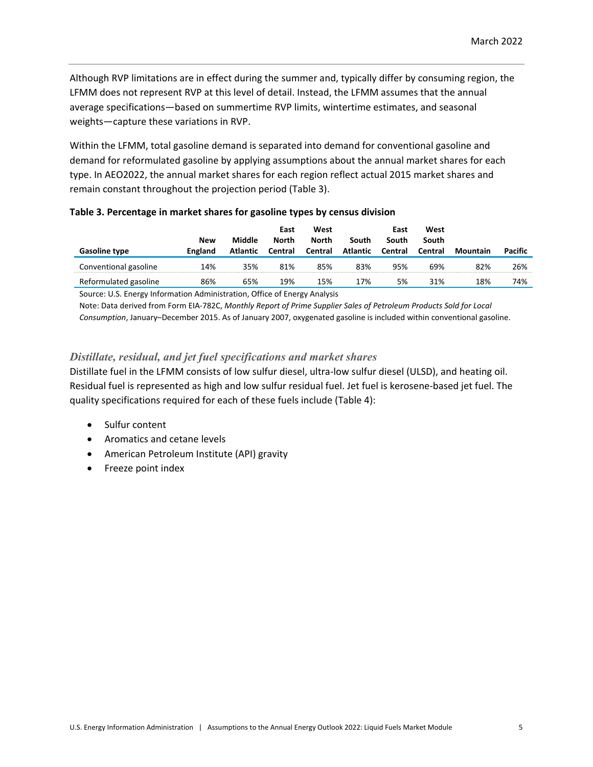Although RVP limitations are in effect during the summer and, typically differ by consuming region, the LFMM does not represent RVP at this level of detail. Instead, the LFMM assumes that the annual average specifications―based on summertime RVP limits, wintertime estimates, and seasonal weights―capture these variations in RVP.

Within the LFMM, total gasoline demand is separated into demand for conventional gasoline and demand for reformulated gasoline by applying assumptions about the annual market shares for each type. In AEO2022, the annual market shares for each region reflect actual 2015 market shares and remain constant throughout the projection period (Table 3).

| <b>Gasoline type</b>  | <b>New</b><br>England | Middle<br>Atlantic | East<br><b>North</b><br>Central | West<br>North<br>Central | South<br><b>Atlantic</b> | East<br>South<br>Central | West<br>South<br>Central | Mountain | Pacific |
|-----------------------|-----------------------|--------------------|---------------------------------|--------------------------|--------------------------|--------------------------|--------------------------|----------|---------|
| Conventional gasoline | 14%                   | 35%                | 81%                             | 85%                      | 83%                      | 95%                      | 69%                      | 82%      | 26%     |
| Reformulated gasoline | 86%                   | 65%                | 19%                             | 15%                      | 17%                      | 5%                       | 31%                      | 18%      | 74%     |

#### **Table 3. Percentage in market shares for gasoline types by census division**

Source: U.S. Energy Information Administration, Office of Energy Analysis

Note: Data derived from Form EIA-782C, *Monthly Report of Prime Supplier Sales of Petroleum Products Sold for Local Consumption*, January–December 2015. As of January 2007, oxygenated gasoline is included within conventional gasoline.

### *Distillate, residual, and jet fuel specifications and market shares*

Distillate fuel in the LFMM consists of low sulfur diesel, ultra-low sulfur diesel (ULSD), and heating oil. Residual fuel is represented as high and low sulfur residual fuel. Jet fuel is kerosene-based jet fuel. The quality specifications required for each of these fuels include (Table 4):

- Sulfur content
- Aromatics and cetane levels
- American Petroleum Institute (API) gravity
- Freeze point index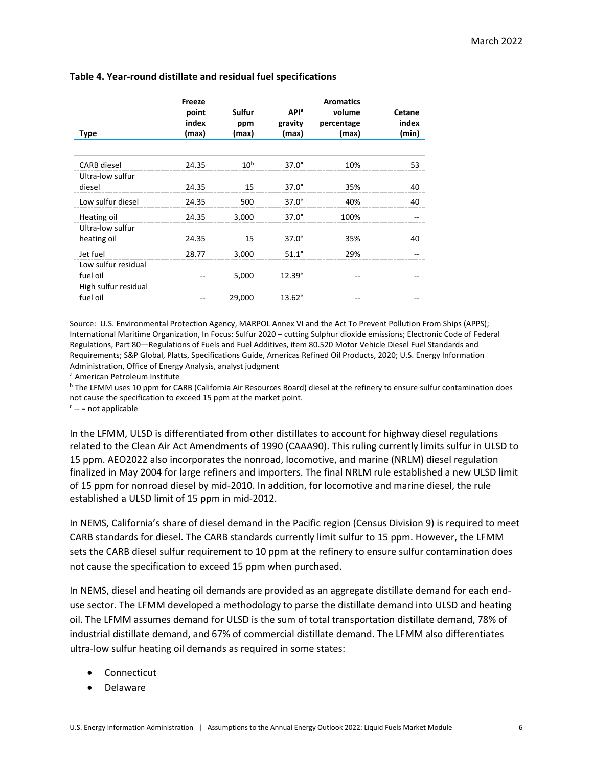| Type                             | Freeze<br>point<br>index<br>(max) | Sulfur<br>ppm<br>(max) | <b>API</b> <sup>a</sup><br>gravity<br>(max) | <b>Aromatics</b><br>volume<br>percentage<br>(max) | Cetane<br>index<br>(min) |
|----------------------------------|-----------------------------------|------------------------|---------------------------------------------|---------------------------------------------------|--------------------------|
|                                  |                                   |                        |                                             |                                                   |                          |
| <b>CARB</b> diesel               | 24.35                             | 10 <sup>b</sup>        | $37.0^\circ$                                | 10%                                               | 53                       |
| Ultra-low sulfur<br>diesel       | 24.35                             | 15                     | $37.0^\circ$                                | 35%                                               | 40                       |
| Low sulfur diesel                | 24.35                             | 500                    | $37.0^\circ$                                | 40%                                               | 40                       |
| Heating oil<br>Ultra-low sulfur  | 24.35                             | 3,000                  | $37.0^\circ$                                | 100%                                              |                          |
| heating oil                      | 24.35                             | 15                     | $37.0^\circ$                                | 35%                                               | 40                       |
| Jet fuel<br>Low sulfur residual  | 28.77                             | 3,000                  | $51.1^\circ$                                | 29%                                               |                          |
| fuel oil<br>High sulfur residual |                                   | 5,000                  | $12.39^\circ$                               |                                                   |                          |
| fuel oil                         |                                   | 29,000                 | $13.62^{\circ}$                             |                                                   |                          |

#### **Table 4. Year-round distillate and residual fuel specifications**

Source: U.S. Environmental Protection Agency, [MARPOL Annex VI and the Act To Prevent Pollution From Ships \(APPS\);](https://www.epa.gov/enforcement/marpol-annex-vi-and-act-prevent-pollution-ships-apps) International Maritime Organization, In Focus: Sulfur 2020 – [cutting Sulphur dioxide emissions;](https://www.imo.org/en/MediaCentre/HotTopics/Pages/Sulphur-2020.aspx) Electronic Code of Federal Regulations, Part 80—Regulations of Fuels and Fuel Additives[, item 80.520 Motor Vehicle Diesel Fuel Standards and](https://www.ecfr.gov/cgi-bin/text-idx?SID=315e9b5a8ae1c6e8d47ca31d11f8827b&mc=true&node=pt40.17.80&rgn=div5#sg40.19.80_1514_680_1519.sg16)  [Requirements;](https://www.ecfr.gov/cgi-bin/text-idx?SID=315e9b5a8ae1c6e8d47ca31d11f8827b&mc=true&node=pt40.17.80&rgn=div5#sg40.19.80_1514_680_1519.sg16) S&P Global, Platts[, Specifications Guide, Americas Refined Oil Products,](https://www.spglobal.com/platts/PlattsContent/_assets/_files/en/our-methodology/methodology-specifications/americas-refined-oil-products-methodology.pdf) 2020; U.S. Energy Information Administration, Office of Energy Analysis, analyst judgment

<sup>a</sup> American Petroleum Institute

<sup>b</sup> The LFMM uses 10 ppm for CARB (California Air Resources Board) diesel at the refinery to ensure sulfur contamination does not cause the specification to exceed 15 ppm at the market point.

 $c$  -- = not applicable

In the LFMM, ULSD is differentiated from other distillates to account for highway diesel regulations related to the Clean Air Act Amendments of 1990 (CAAA90). This ruling currently limits sulfur in ULSD to 15 ppm. AEO2022 also incorporates the nonroad, locomotive, and marine (NRLM) diesel regulation finalized in May 2004 for large refiners and importers. The final NRLM rule established a new ULSD limit of 15 ppm for nonroad diesel by mid-2010. In addition, for locomotive and marine diesel, the rule established a ULSD limit of 15 ppm in mid-2012.

In NEMS, California's share of diesel demand in the Pacific region (Census Division 9) is required to meet CARB standards for diesel. The CARB standards currently limit sulfur to 15 ppm. However, the LFMM sets the CARB diesel sulfur requirement to 10 ppm at the refinery to ensure sulfur contamination does not cause the specification to exceed 15 ppm when purchased.

In NEMS, diesel and heating oil demands are provided as an aggregate distillate demand for each enduse sector. The LFMM developed a methodology to parse the distillate demand into ULSD and heating oil. The LFMM assumes demand for ULSD is the sum of total transportation distillate demand, 78% of industrial distillate demand, and 67% of commercial distillate demand. The LFMM also differentiates ultra-low sulfur heating oil demands as required in some states:

- **Connecticut**
- Delaware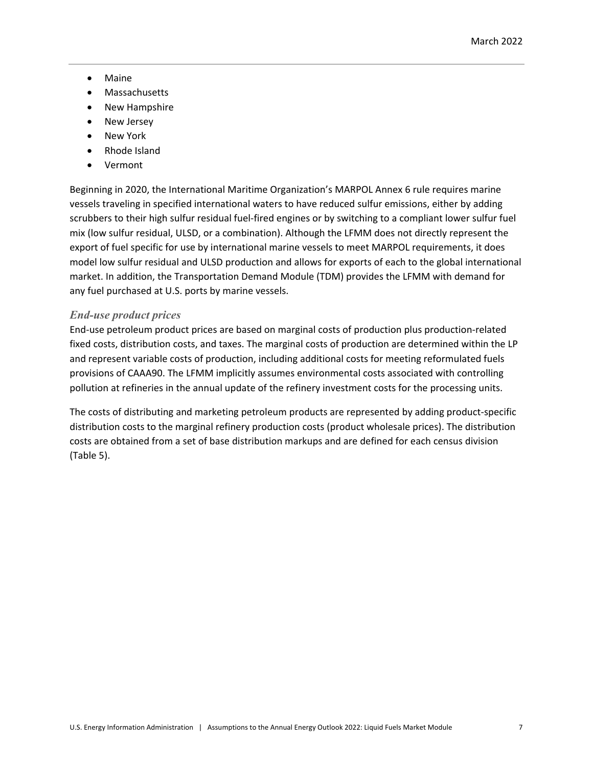- Maine
- Massachusetts
- New Hampshire
- New Jersey
- New York
- Rhode Island
- Vermont

Beginning in 2020, the International Maritime Organization's MARPOL Annex 6 rule requires marine vessels traveling in specified international waters to have reduced sulfur emissions, either by adding scrubbers to their high sulfur residual fuel-fired engines or by switching to a compliant lower sulfur fuel mix (low sulfur residual, ULSD, or a combination). Although the LFMM does not directly represent the export of fuel specific for use by international marine vessels to meet MARPOL requirements, it does model low sulfur residual and ULSD production and allows for exports of each to the global international market. In addition, the Transportation Demand Module (TDM) provides the LFMM with demand for any fuel purchased at U.S. ports by marine vessels.

# *End-use product prices*

End-use petroleum product prices are based on marginal costs of production plus production-related fixed costs, distribution costs, and taxes. The marginal costs of production are determined within the LP and represent variable costs of production, including additional costs for meeting reformulated fuels provisions of CAAA90. The LFMM implicitly assumes environmental costs associated with controlling pollution at refineries in the annual update of the refinery investment costs for the processing units.

The costs of distributing and marketing petroleum products are represented by adding product-specific distribution costs to the marginal refinery production costs (product wholesale prices). The distribution costs are obtained from a set of base distribution markups and are defined for each census division (Table 5).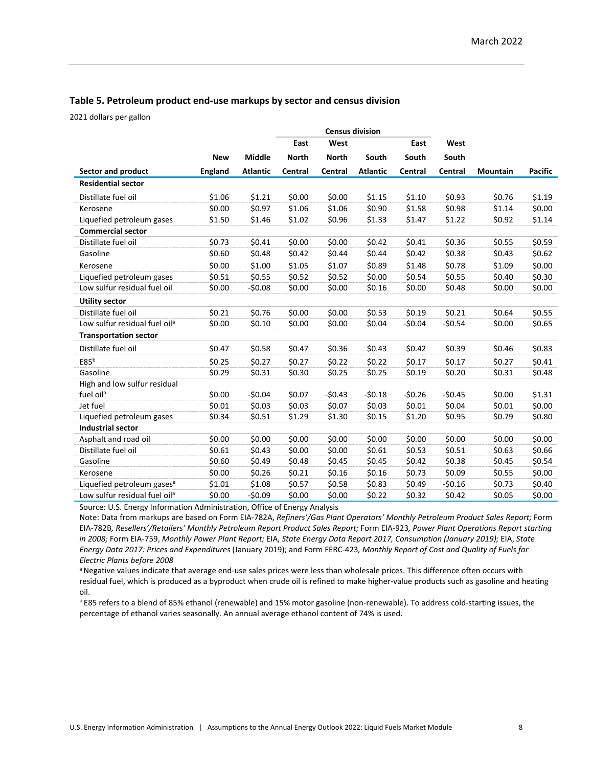#### **Table 5. Petroleum product end-use markups by sector and census division**

2021 dollars per gallon

|                                           |                |                 |              |              | <b>Census division</b> |          |          |          |                |
|-------------------------------------------|----------------|-----------------|--------------|--------------|------------------------|----------|----------|----------|----------------|
|                                           |                |                 | East         | West         |                        | East     | West     |          |                |
|                                           | <b>New</b>     | <b>Middle</b>   | <b>North</b> | <b>North</b> | South                  | South    | South    |          |                |
| Sector and product                        | <b>England</b> | <b>Atlantic</b> | Central      | Central      | <b>Atlantic</b>        | Central  | Central  | Mountain | <b>Pacific</b> |
| <b>Residential sector</b>                 |                |                 |              |              |                        |          |          |          |                |
| Distillate fuel oil                       | \$1.06         | \$1.21          | \$0.00       | \$0.00       | \$1.15                 | \$1.10   | \$0.93   | \$0.76   | \$1.19         |
| Kerosene                                  | \$0.00         | \$0.97          | \$1.06       | \$1.06       | \$0.90                 | \$1.58   | \$0.98   | \$1.14   | \$0.00         |
| Liquefied petroleum gases                 | \$1.50         | \$1.46          | \$1.02       | \$0.96       | \$1.33                 | \$1.47   | \$1.22   | \$0.92   | \$1.14         |
| <b>Commercial sector</b>                  |                |                 |              |              |                        |          |          |          |                |
| Distillate fuel oil                       | \$0.73         | \$0.41          | \$0.00       | \$0.00       | \$0.42                 | \$0.41   | \$0.36   | \$0.55   | \$0.59         |
| Gasoline                                  | \$0.60         | \$0.48          | \$0.42       | \$0.44       | \$0.44                 | \$0.42   | \$0.38   | \$0.43   | \$0.62         |
| Kerosene                                  | \$0.00         | \$1.00          | \$1.05       | \$1.07       | \$0.89                 | \$1.48   | \$0.78   | \$1.09   | \$0.00         |
| Liquefied petroleum gases                 | \$0.51         | \$0.55          | \$0.52       | \$0.52       | \$0.00                 | \$0.54   | \$0.55   | \$0.40   | \$0.30         |
| Low sulfur residual fuel oil              | \$0.00         | $-50.08$        | \$0.00       | \$0.00       | \$0.16                 | \$0.00   | \$0.48   | \$0.00   | \$0.00         |
| <b>Utility sector</b>                     |                |                 |              |              |                        |          |          |          |                |
| Distillate fuel oil                       | \$0.21         | \$0.76          | \$0.00       | \$0.00       | \$0.53                 | \$0.19   | \$0.21   | \$0.64   | \$0.55         |
| Low sulfur residual fuel oil <sup>a</sup> | \$0.00         | \$0.10          | \$0.00       | \$0.00       | \$0.04                 | $-50.04$ | $-50.54$ | \$0.00   | \$0.65         |
| <b>Transportation sector</b>              |                |                 |              |              |                        |          |          |          |                |
| Distillate fuel oil                       | \$0.47         | \$0.58          | \$0.47       | \$0.36       | \$0.43                 | \$0.42   | \$0.39   | \$0.46   | \$0.83         |
| E85 <sup>b</sup>                          | \$0.25         | \$0.27          | \$0.27       | \$0.22       | \$0.22                 | \$0.17   | \$0.17   | \$0.27   | \$0.41         |
| Gasoline                                  | \$0.29         | \$0.31          | \$0.30       | \$0.25       | \$0.25                 | \$0.19   | \$0.20   | \$0.31   | \$0.48         |
| High and low sulfur residual              |                |                 |              |              |                        |          |          |          |                |
| fuel oil <sup>a</sup>                     | \$0.00         | $-50.04$        | \$0.07       | $-50.43$     | $-50.18$               | $-50.26$ | $-50.45$ | \$0.00   | \$1.31         |
| Jet fuel                                  | \$0.01         | \$0.03          | \$0.03       | \$0.07       | \$0.03                 | \$0.01   | \$0.04   | \$0.01   | \$0.00         |
| Liquefied petroleum gases                 | \$0.34         | \$0.51          | \$1.29       | \$1.30       | \$0.15                 | \$1.20   | \$0.95   | \$0.79   | \$0.80         |
| <b>Industrial sector</b>                  |                |                 |              |              |                        |          |          |          |                |
| Asphalt and road oil                      | \$0.00         | \$0.00          | \$0.00       | \$0.00       | \$0.00                 | \$0.00   | \$0.00   | \$0.00   | \$0.00         |
| Distillate fuel oil                       | \$0.61         | \$0.43          | \$0.00       | \$0.00       | \$0.61                 | \$0.53   | \$0.51   | \$0.63   | \$0.66         |
| Gasoline                                  | \$0.60         | \$0.49          | \$0.48       | \$0.45       | \$0.45                 | \$0.42   | \$0.38   | \$0.45   | \$0.54         |
| Kerosene                                  | \$0.00         | \$0.26          | \$0.21       | \$0.16       | \$0.16                 | \$0.73   | \$0.09   | \$0.55   | \$0.00         |
| Liquefied petroleum gases <sup>a</sup>    | \$1.01         | \$1.08          | \$0.57       | \$0.58       | \$0.83                 | \$0.49   | $-50.16$ | \$0.73   | \$0.40         |
| Low sulfur residual fuel oil <sup>a</sup> | \$0.00         | $-50.09$        | \$0.00       | \$0.00       | \$0.22                 | \$0.32   | \$0.42   | \$0.05   | \$0.00         |

Source: U.S. Energy Information Administration, Office of Energy Analysis

Note: Data from markups are based on Form EIA-782A, *Refiners'/Gas Plant Operators' Monthly Petroleum Product Sales Report;* Form EIA-782B*, Resellers'/Retailers' Monthly Petroleum Report Product Sales Report;* Form EIA-923*, Power Plant Operations Report starting in 2008;* Form EIA-759, *Monthly Power Plant Report;* EIA, *State Energy Data Report 2017, Consumption (January 2019);* EIA, *State Energy Data 2017: Prices and Expenditures* (January 2019); and Form FERC-423*, Monthly Report of Cost and Quality of Fuels for Electric Plants before 2008*

a Negative values indicate that average end-use sales prices were less than wholesale prices. This difference often occurs with residual fuel, which is produced as a byproduct when crude oil is refined to make higher-value products such as gasoline and heating oil.

b E85 refers to a blend of 85% ethanol (renewable) and 15% motor gasoline (non-renewable). To address cold-starting issues, the percentage of ethanol varies seasonally. An annual average ethanol content of 74% is used.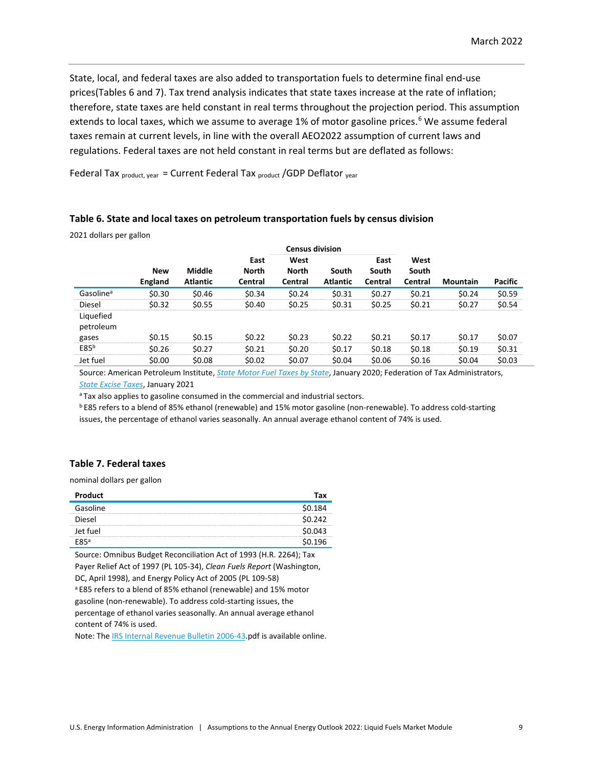State, local, and federal taxes are also added to transportation fuels to determine final end-use prices(Tables 6 and 7). Tax trend analysis indicates that state taxes increase at the rate of inflation; therefore, state taxes are held constant in real terms throughout the projection period. This assumption extends to local taxes, which we assume to average 1% of motor gasoline prices. [6](#page-21-5) We assume federal taxes remain at current levels, in line with the overall AEO2022 assumption of current laws and regulations. Federal taxes are not held constant in real terms but are deflated as follows:

Federal Tax  $_{product, year}$  = Current Federal Tax  $_{product}$  /GDP Deflator  $_{year}$ 

#### **Table 6. State and local taxes on petroleum transportation fuels by census division**

2021 dollars per gallon

|                        |                       |                           |                                 | <b>Census division</b>          |                          |                          |                          |          |         |
|------------------------|-----------------------|---------------------------|---------------------------------|---------------------------------|--------------------------|--------------------------|--------------------------|----------|---------|
|                        | <b>New</b><br>England | Middle<br><b>Atlantic</b> | East<br><b>North</b><br>Central | West<br><b>North</b><br>Central | South<br><b>Atlantic</b> | East<br>South<br>Central | West<br>South<br>Central | Mountain | Pacific |
| Gasoline <sup>a</sup>  | \$0.30                | \$0.46                    | \$0.34                          | \$0.24                          | \$0.31                   | \$0.27                   | \$0.21                   | \$0.24   | \$0.59  |
| Diesel                 | \$0.32                | \$0.55                    | \$0.40                          | \$0.25                          | \$0.31                   | \$0.25                   | \$0.21                   | \$0.27   | \$0.54  |
| Liquefied<br>petroleum |                       |                           |                                 |                                 |                          |                          |                          |          |         |
| gases                  | \$0.15                | \$0.15                    | \$0.22                          | \$0.23                          | \$0.22                   | \$0.21                   | \$0.17                   | \$0.17   | \$0.07  |
| E85 <sup>b</sup>       | \$0.26                | \$0.27                    | \$0.21                          | \$0.20                          | \$0.17                   | \$0.18                   | \$0.18                   | \$0.19   | \$0.31  |
| Jet fuel               | \$0.00                | \$0.08                    | \$0.02                          | \$0.07                          | \$0.04                   | \$0.06                   | \$0.16                   | \$0.04   | \$0.03  |

Source: American Petroleum Institute, *[State Motor Fuel Taxes by State](http://www.api.org/oil-and-natural-gas/consumer-information/motor-fuel-taxes)*, January 2020; Federation of Tax Administrators, *[State Excise Taxes](https://www.taxadmin.org/tax-rates#mf)*, January 2021

<sup>a</sup> Tax also applies to gasoline consumed in the commercial and industrial sectors.

b E85 refers to a blend of 85% ethanol (renewable) and 15% motor gasoline (non-renewable). To address cold-starting issues, the percentage of ethanol varies seasonally. An annual average ethanol content of 74% is used.

#### **Table 7. Federal taxes**

nominal dollars per gallon

| Product     | Тах     |
|-------------|---------|
| Gasoline    | \$0.184 |
| Diesel      | \$0.242 |
| Jet fuel    | \$0.043 |
| <b>EQ5ª</b> | \$0.196 |

Source: Omnibus Budget Reconciliation Act of 1993 (H.R. 2264); Tax Payer Relief Act of 1997 (PL 105-34), *Clean Fuels Report* (Washington, DC, April 1998), and Energy Policy Act of 2005 (PL 109-58) a E85 refers to a blend of 85% ethanol (renewable) and 15% motor gasoline (non-renewable). To address cold-starting issues, the percentage of ethanol varies seasonally. An annual average ethanol content of 74% is used.

Note: Th[e IRS Internal Revenue Bulletin 2006-43.p](http://www.irs.gov/pub/irs-irbs/irb06-43.pdf)df is available online.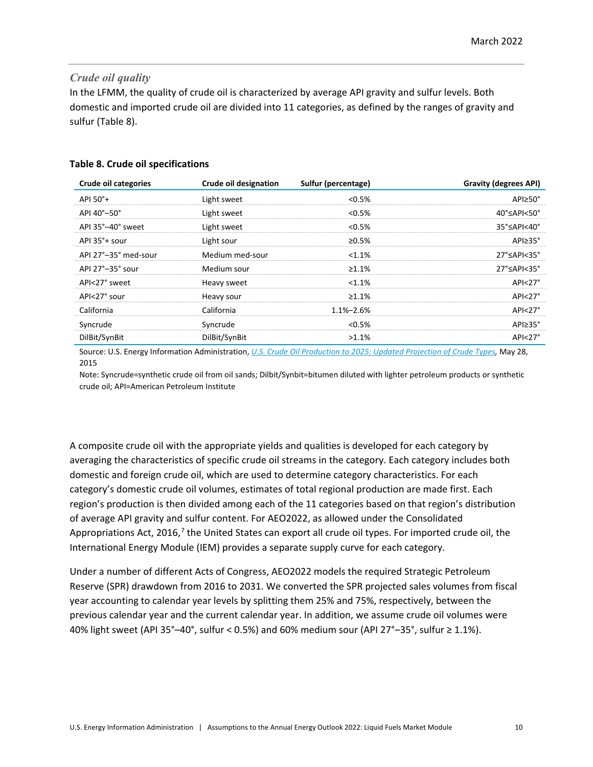### *Crude oil quality*

In the LFMM, the quality of crude oil is characterized by average API gravity and sulfur levels. Both domestic and imported crude oil are divided into 11 categories, as defined by the ranges of gravity and sulfur (Table 8).

### **Table 8. Crude oil specifications**

| <b>Crude oil categories</b> | Crude oil designation | Sulfur (percentage) | <b>Gravity (degrees API)</b>              |
|-----------------------------|-----------------------|---------------------|-------------------------------------------|
| API 50°+                    | Light sweet           | $< 0.5\%$           | API≥50°                                   |
| API 40°-50°                 | Light sweet           | $< 0.5\%$           | $40^{\circ}$ $\leq$ API $<$ 50 $^{\circ}$ |
| API 35°-40° sweet           | Light sweet           | $< 0.5\%$           | 35°≤API<40°                               |
| API $35^\circ$ + sour       | Light sour            | ≥0.5%               | $API \geq 35^{\circ}$                     |
| API 27°-35° med-sour        | Medium med-sour       | $< 1.1\%$           | $27^{\circ}$ $\leq$ API $<$ 35 $^{\circ}$ |
| API 27°-35° sour            | Medium sour           | $\geq 1.1\%$        | $27^{\circ}$ $\leq$ API $<$ 35 $^{\circ}$ |
| API<27° sweet               | Heavy sweet           | $< 1.1\%$           | AP <sub>27</sub> °                        |
| API<27° sour                | Heavy sour            | $\geq 1.1\%$        | $API < 27^\circ$                          |
| California                  | California            | $1.1\% - 2.6\%$     | AP <sub>27</sub> °                        |
| Syncrude                    | Syncrude              | $< 0.5\%$           | $API \geq 35^{\circ}$                     |
| DilBit/SynBit               | DilBit/SynBit         | $>1.1\%$            | $API < 27^\circ$                          |
|                             |                       |                     |                                           |

Source: U.S. Energy Information Administration, *[U.S. Crude Oil Production to 2025: Updated Projection](http://www.eia.gov/analysis/petroleum/crudetypes/) of Crude Types,* May 28, 2015

Note: Syncrude=synthetic crude oil from oil sands; Dilbit/Synbit=bitumen diluted with lighter petroleum products or synthetic crude oil; API=American Petroleum Institute

A composite crude oil with the appropriate yields and qualities is developed for each category by averaging the characteristics of specific crude oil streams in the category. Each category includes both domestic and foreign crude oil, which are used to determine category characteristics. For each category's domestic crude oil volumes, estimates of total regional production are made first. Each region's production is then divided among each of the 11 categories based on that region's distribution of average API gravity and sulfur content. For AEO2022, as allowed under the Consolidated Appropriations Act, 2016,<sup>[7](#page-21-6)</sup> the United States can export all crude oil types. For imported crude oil, the International Energy Module (IEM) provides a separate supply curve for each category.

Under a number of different Acts of Congress, AEO2022 models the required Strategic Petroleum Reserve (SPR) drawdown from 2016 to 2031. We converted the SPR projected sales volumes from fiscal year accounting to calendar year levels by splitting them 25% and 75%, respectively, between the previous calendar year and the current calendar year. In addition, we assume crude oil volumes were 40% light sweet (API 35°–40°, sulfur < 0.5%) and 60% medium sour (API 27°–35°, sulfur ≥ 1.1%).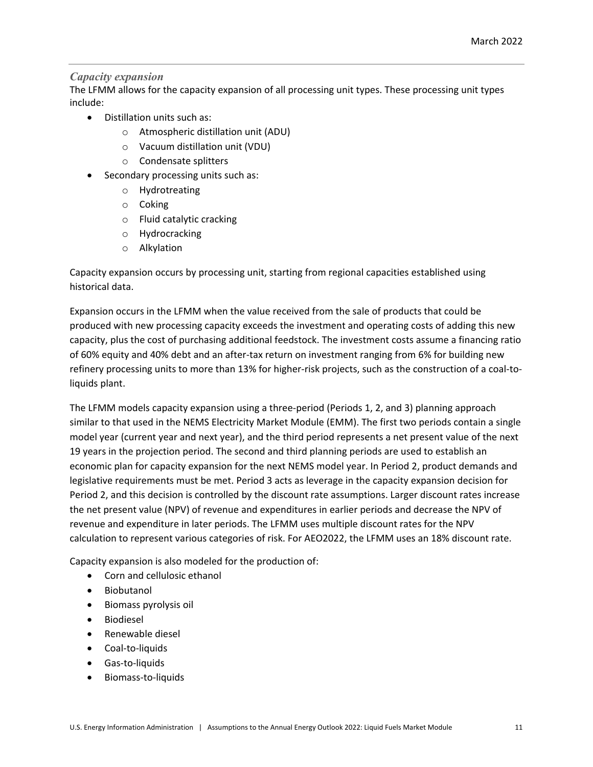### *Capacity expansion*

The LFMM allows for the capacity expansion of all processing unit types. These processing unit types include:

- Distillation units such as:
	- o Atmospheric distillation unit (ADU)
	- o Vacuum distillation unit (VDU)
	- o Condensate splitters
- Secondary processing units such as:
	- o Hydrotreating
	- o Coking
	- o Fluid catalytic cracking
	- o Hydrocracking
	- o Alkylation

Capacity expansion occurs by processing unit, starting from regional capacities established using historical data.

Expansion occurs in the LFMM when the value received from the sale of products that could be produced with new processing capacity exceeds the investment and operating costs of adding this new capacity, plus the cost of purchasing additional feedstock. The investment costs assume a financing ratio of 60% equity and 40% debt and an after-tax return on investment ranging from 6% for building new refinery processing units to more than 13% for higher-risk projects, such as the construction of a coal-toliquids plant.

The LFMM models capacity expansion using a three-period (Periods 1, 2, and 3) planning approach similar to that used in the NEMS Electricity Market Module (EMM). The first two periods contain a single model year (current year and next year), and the third period represents a net present value of the next 19 years in the projection period. The second and third planning periods are used to establish an economic plan for capacity expansion for the next NEMS model year. In Period 2, product demands and legislative requirements must be met. Period 3 acts as leverage in the capacity expansion decision for Period 2, and this decision is controlled by the discount rate assumptions. Larger discount rates increase the net present value (NPV) of revenue and expenditures in earlier periods and decrease the NPV of revenue and expenditure in later periods. The LFMM uses multiple discount rates for the NPV calculation to represent various categories of risk. For AEO2022, the LFMM uses an 18% discount rate.

Capacity expansion is also modeled for the production of:

- Corn and cellulosic ethanol
- Biobutanol
- Biomass pyrolysis oil
- Biodiesel
- Renewable diesel
- Coal-to-liquids
- Gas-to-liquids
- Biomass-to-liquids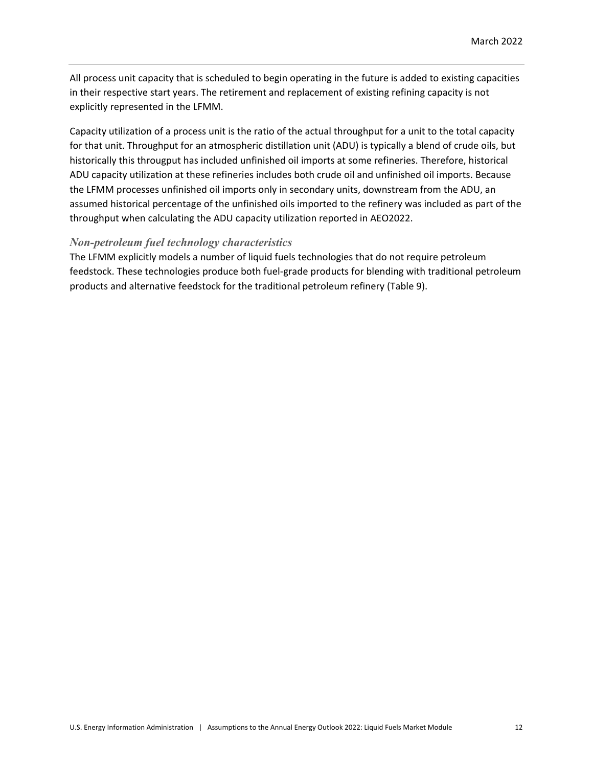All process unit capacity that is scheduled to begin operating in the future is added to existing capacities in their respective start years. The retirement and replacement of existing refining capacity is not explicitly represented in the LFMM.

Capacity utilization of a process unit is the ratio of the actual throughput for a unit to the total capacity for that unit. Throughput for an atmospheric distillation unit (ADU) is typically a blend of crude oils, but historically this througput has included unfinished oil imports at some refineries. Therefore, historical ADU capacity utilization at these refineries includes both crude oil and unfinished oil imports. Because the LFMM processes unfinished oil imports only in secondary units, downstream from the ADU, an assumed historical percentage of the unfinished oils imported to the refinery was included as part of the throughput when calculating the ADU capacity utilization reported in AEO2022.

### *Non-petroleum fuel technology characteristics*

The LFMM explicitly models a number of liquid fuels technologies that do not require petroleum feedstock. These technologies produce both fuel-grade products for blending with traditional petroleum products and alternative feedstock for the traditional petroleum refinery (Table 9).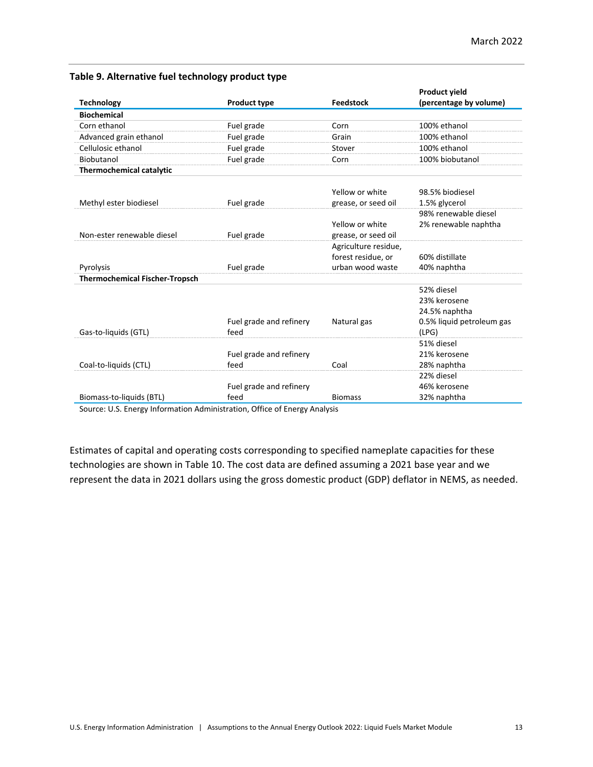### **Table 9. Alternative fuel technology product type**

|                                       |                         |                      | <b>Product yield</b>      |
|---------------------------------------|-------------------------|----------------------|---------------------------|
| <b>Technology</b>                     | <b>Product type</b>     | <b>Feedstock</b>     | (percentage by volume)    |
| <b>Biochemical</b>                    |                         |                      |                           |
| Corn ethanol                          | Fuel grade              | Corn                 | 100% ethanol              |
| Advanced grain ethanol                | Fuel grade              | Grain                | 100% ethanol              |
| Cellulosic ethanol                    | Fuel grade              | Stover               | 100% ethanol              |
| Biobutanol                            | Fuel grade              | Corn                 | 100% biobutanol           |
| <b>Thermochemical catalytic</b>       |                         |                      |                           |
|                                       |                         |                      |                           |
|                                       |                         | Yellow or white      | 98.5% biodiesel           |
| Methyl ester biodiesel                | Fuel grade              | grease, or seed oil  | 1.5% glycerol             |
|                                       |                         |                      | 98% renewable diesel      |
|                                       |                         | Yellow or white      | 2% renewable naphtha      |
| Non-ester renewable diesel            | Fuel grade              | grease, or seed oil  |                           |
|                                       |                         | Agriculture residue, |                           |
|                                       |                         | forest residue, or   | 60% distillate            |
| Pyrolysis                             | Fuel grade              | urban wood waste     | 40% naphtha               |
| <b>Thermochemical Fischer-Tropsch</b> |                         |                      |                           |
|                                       |                         |                      | 52% diesel                |
|                                       |                         |                      | 23% kerosene              |
|                                       |                         |                      | 24.5% naphtha             |
|                                       | Fuel grade and refinery | Natural gas          | 0.5% liquid petroleum gas |
| Gas-to-liquids (GTL)                  | feed                    |                      | (LPG)                     |
|                                       |                         |                      | 51% diesel                |
|                                       | Fuel grade and refinery |                      | 21% kerosene              |
| Coal-to-liquids (CTL)                 | feed                    | Coal                 | 28% naphtha               |
|                                       |                         |                      | 22% diesel                |
|                                       | Fuel grade and refinery |                      | 46% kerosene              |
| Biomass-to-liquids (BTL)              | feed                    | <b>Biomass</b>       | 32% naphtha               |

Source: U.S. Energy Information Administration, Office of Energy Analysis

Estimates of capital and operating costs corresponding to specified nameplate capacities for these technologies are shown in Table 10. The cost data are defined assuming a 2021 base year and we represent the data in 2021 dollars using the gross domestic product (GDP) deflator in NEMS, as needed.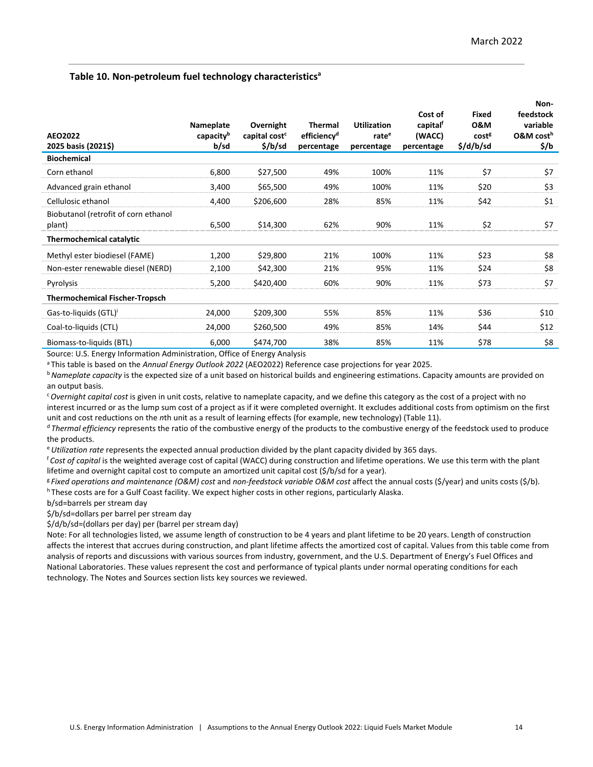### **Table 10. Non-petroleum fuel technology characteristics<sup>a</sup>**

| AEO2022<br>2025 basis (2021\$)                 | Nameplate<br>capacity <sup>b</sup><br>b/sd | Overnight<br>capital cost <sup>c</sup><br>\$/b/sd | Thermal<br>efficiency <sup>d</sup><br>percentage | <b>Utilization</b><br>rate <sup>e</sup><br>percentage | Cost of<br>capital <sup>f</sup><br>(WACC)<br>percentage | Fixed<br><b>0&amp;M</b><br>cost <sup>g</sup><br>\$/d/b/sd | Non-<br>feedstock<br>variable<br>O&M cost <sup>h</sup><br>\$/b |
|------------------------------------------------|--------------------------------------------|---------------------------------------------------|--------------------------------------------------|-------------------------------------------------------|---------------------------------------------------------|-----------------------------------------------------------|----------------------------------------------------------------|
| <b>Biochemical</b>                             |                                            |                                                   |                                                  |                                                       |                                                         |                                                           |                                                                |
| Corn ethanol                                   | 6,800                                      | \$27,500                                          | 49%                                              | 100%                                                  | 11%                                                     | \$7                                                       | \$7                                                            |
| Advanced grain ethanol                         | 3,400                                      | \$65,500                                          | 49%                                              | 100%                                                  | 11%                                                     | \$20                                                      | \$3                                                            |
| Cellulosic ethanol                             | 4,400                                      | \$206,600                                         | 28%                                              | 85%                                                   | 11%                                                     | \$42                                                      | \$1                                                            |
| Biobutanol (retrofit of corn ethanol<br>plant) | 6,500                                      | \$14,300                                          | 62%                                              | 90%                                                   | 11%                                                     | \$2                                                       | \$7                                                            |
| <b>Thermochemical catalytic</b>                |                                            |                                                   |                                                  |                                                       |                                                         |                                                           |                                                                |
| Methyl ester biodiesel (FAME)                  | 1,200                                      | \$29,800                                          | 21%                                              | 100%                                                  | 11%                                                     | \$23                                                      | \$8                                                            |
| Non-ester renewable diesel (NERD)              | 2,100                                      | \$42,300                                          | 21%                                              | 95%                                                   | 11%                                                     | \$24                                                      | \$8                                                            |
| Pyrolysis                                      | 5,200                                      | \$420,400                                         | 60%                                              | 90%                                                   | 11%                                                     | \$73                                                      | \$7                                                            |
| <b>Thermochemical Fischer-Tropsch</b>          |                                            |                                                   |                                                  |                                                       |                                                         |                                                           |                                                                |
| Gas-to-liquids (GTL)'                          | 24,000                                     | \$209,300                                         | 55%                                              | 85%                                                   | 11%                                                     | \$36                                                      | \$10                                                           |
| Coal-to-liquids (CTL)                          | 24,000                                     | \$260,500                                         | 49%                                              | 85%                                                   | 14%                                                     | \$44                                                      | \$12                                                           |
| Biomass-to-liquids (BTL)                       | 6,000                                      | \$474,700                                         | 38%                                              | 85%                                                   | 11%                                                     | \$78                                                      | \$8                                                            |

Source: U.S. Energy Information Administration, Office of Energy Analysis

a This table is based on the *Annual Energy Outlook 2022* (AEO2022) Reference case projections for year 2025.

<sup>b</sup>*Nameplate capacity* is the expected size of a unit based on historical builds and engineering estimations. Capacity amounts are provided on an output basis.

<sup>c</sup>*Overnight capital cost* is given in unit costs, relative to nameplate capacity, and we define this category as the cost of a project with no interest incurred or as the lump sum cost of a project as if it were completed overnight. It excludes additional costs from optimism on the first unit and cost reductions on the *n*th unit as a result of learning effects (for example, new technology) (Table 11).

<sup>d</sup>*Thermal efficiency* represents the ratio of the combustive energy of the products to the combustive energy of the feedstock used to produce the products.

<sup>e</sup>*Utilization rate* represents the expected annual production divided by the plant capacity divided by 365 days.

<sup>f</sup>*Cost of capital* is the weighted average cost of capital (WACC) during construction and lifetime operations. We use this term with the plant lifetime and overnight capital cost to compute an amortized unit capital cost (\$/b/sd for a year).

<sup>g</sup>*Fixed operations and maintenance (O&M) cost* and *non-feedstock variable O&M cost* affect the annual costs (\$/year) and units costs (\$/b). h These costs are for a Gulf Coast facility. We expect higher costs in other regions, particularly Alaska.

b/sd=barrels per stream day

\$/b/sd=dollars per barrel per stream day

\$/d/b/sd=(dollars per day) per (barrel per stream day)

Note: For all technologies listed, we assume length of construction to be 4 years and plant lifetime to be 20 years. Length of construction affects the interest that accrues during construction, and plant lifetime affects the amortized cost of capital. Values from this table come from analysis of reports and discussions with various sources from industry, government, and the U.S. Department of Energy's Fuel Offices and National Laboratories. These values represent the cost and performance of typical plants under normal operating conditions for each technology. The Notes and Sources section lists key sources we reviewed.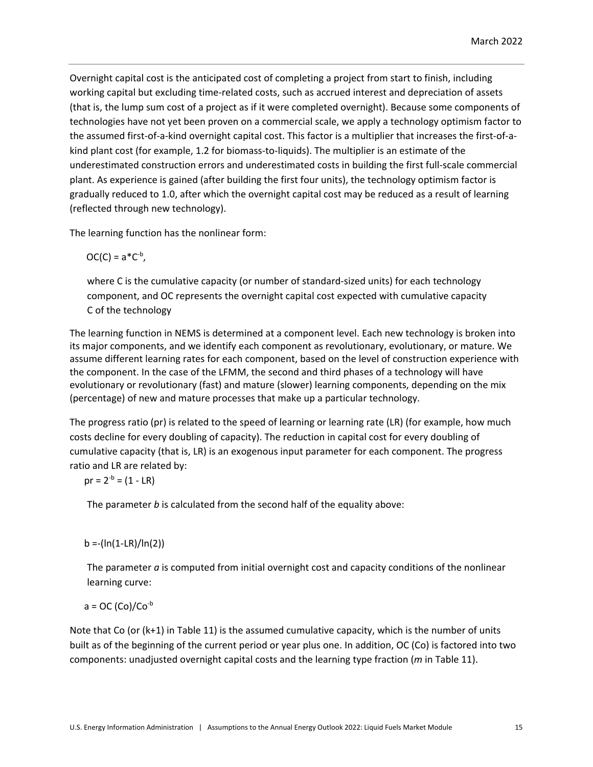Overnight capital cost is the anticipated cost of completing a project from start to finish, including working capital but excluding time-related costs, such as accrued interest and depreciation of assets (that is, the lump sum cost of a project as if it were completed overnight). Because some components of technologies have not yet been proven on a commercial scale, we apply a technology optimism factor to the assumed first-of-a-kind overnight capital cost. This factor is a multiplier that increases the first-of-akind plant cost (for example, 1.2 for biomass-to-liquids). The multiplier is an estimate of the underestimated construction errors and underestimated costs in building the first full-scale commercial plant. As experience is gained (after building the first four units), the technology optimism factor is gradually reduced to 1.0, after which the overnight capital cost may be reduced as a result of learning (reflected through new technology).

The learning function has the nonlinear form:

$$
OC(C) = a^*C^{-b},
$$

where C is the cumulative capacity (or number of standard-sized units) for each technology component, and OC represents the overnight capital cost expected with cumulative capacity C of the technology

The learning function in NEMS is determined at a component level. Each new technology is broken into its major components, and we identify each component as revolutionary, evolutionary, or mature. We assume different learning rates for each component, based on the level of construction experience with the component. In the case of the LFMM, the second and third phases of a technology will have evolutionary or revolutionary (fast) and mature (slower) learning components, depending on the mix (percentage) of new and mature processes that make up a particular technology.

The progress ratio (pr) is related to the speed of learning or learning rate (LR) (for example, how much costs decline for every doubling of capacity). The reduction in capital cost for every doubling of cumulative capacity (that is, LR) is an exogenous input parameter for each component. The progress ratio and LR are related by:

 $pr = 2^{-b} = (1 - LR)$ 

The parameter *b* is calculated from the second half of the equality above:

 $b = (ln(1-LR)/ln(2))$ 

The parameter *a* is computed from initial overnight cost and capacity conditions of the nonlinear learning curve:

 $a = OC (Co)/Co^{-b}$ 

Note that Co (or (k+1) in Table 11) is the assumed cumulative capacity, which is the number of units built as of the beginning of the current period or year plus one. In addition, OC (Co) is factored into two components: unadjusted overnight capital costs and the learning type fraction (*m* in Table 11).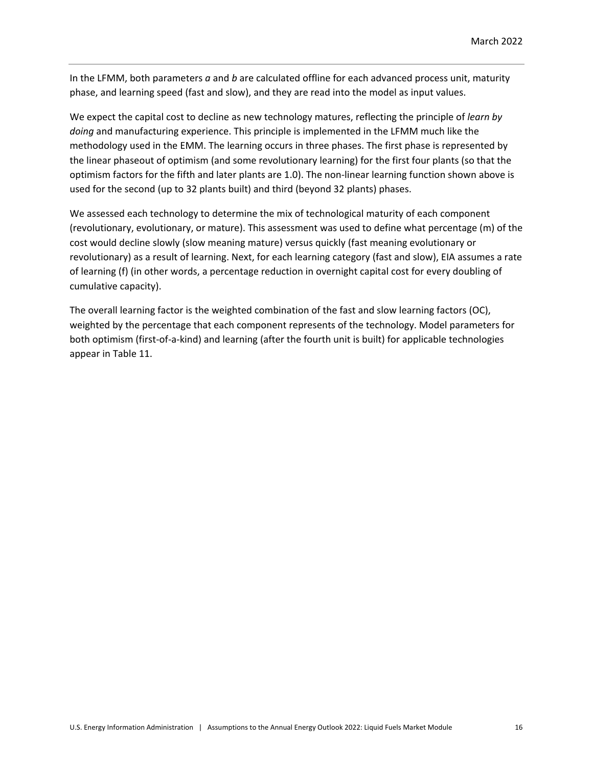In the LFMM, both parameters *a* and *b* are calculated offline for each advanced process unit, maturity phase, and learning speed (fast and slow), and they are read into the model as input values.

We expect the capital cost to decline as new technology matures, reflecting the principle of *learn by doing* and manufacturing experience. This principle is implemented in the LFMM much like the methodology used in the EMM. The learning occurs in three phases. The first phase is represented by the linear phaseout of optimism (and some revolutionary learning) for the first four plants (so that the optimism factors for the fifth and later plants are 1.0). The non-linear learning function shown above is used for the second (up to 32 plants built) and third (beyond 32 plants) phases.

We assessed each technology to determine the mix of technological maturity of each component (revolutionary, evolutionary, or mature). This assessment was used to define what percentage (m) of the cost would decline slowly (slow meaning mature) versus quickly (fast meaning evolutionary or revolutionary) as a result of learning. Next, for each learning category (fast and slow), EIA assumes a rate of learning (f) (in other words, a percentage reduction in overnight capital cost for every doubling of cumulative capacity).

The overall learning factor is the weighted combination of the fast and slow learning factors (OC), weighted by the percentage that each component represents of the technology. Model parameters for both optimism (first-of-a-kind) and learning (after the fourth unit is built) for applicable technologies appear in Table 11.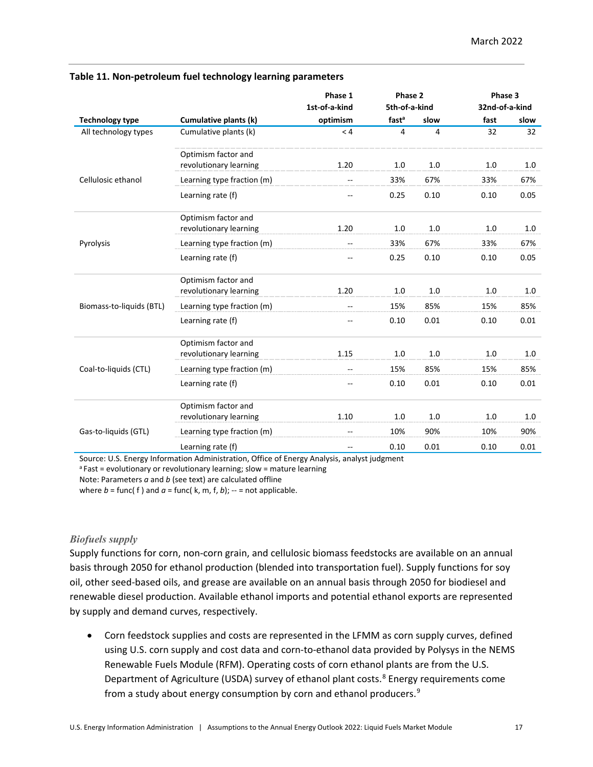|                          |                                               | Phase 1                  | Phase 2           |      | Phase 3        |      |
|--------------------------|-----------------------------------------------|--------------------------|-------------------|------|----------------|------|
|                          |                                               | 1st-of-a-kind            | 5th-of-a-kind     |      | 32nd-of-a-kind |      |
| <b>Technology type</b>   | Cumulative plants (k)                         | optimism                 | fast <sup>a</sup> | slow | fast           | slow |
| All technology types     | Cumulative plants (k)                         | < 4                      | 4                 | 4    | 32             | 32   |
|                          | Optimism factor and<br>revolutionary learning | 1.20                     | 1.0               | 1.0  | 1.0            | 1.0  |
| Cellulosic ethanol       | Learning type fraction (m)                    | --                       | 33%               | 67%  | 33%            | 67%  |
|                          | Learning rate (f)                             | --                       | 0.25              | 0.10 | 0.10           | 0.05 |
|                          | Optimism factor and<br>revolutionary learning | 1.20                     | 1.0               | 1.0  | 1.0            | 1.0  |
| Pyrolysis                | Learning type fraction (m)                    | --                       | 33%               | 67%  | 33%            | 67%  |
|                          | Learning rate (f)                             | --                       | 0.25              | 0.10 | 0.10           | 0.05 |
|                          | Optimism factor and<br>revolutionary learning | 1.20                     | 1.0               | 1.0  | 1.0            | 1.0  |
| Biomass-to-liquids (BTL) | Learning type fraction (m)                    | $-$                      | 15%               | 85%  | 15%            | 85%  |
|                          | Learning rate (f)                             | $-$                      | 0.10              | 0.01 | 0.10           | 0.01 |
|                          | Optimism factor and<br>revolutionary learning | 1.15                     | 1.0               | 1.0  | 1.0            | 1.0  |
| Coal-to-liquids (CTL)    | Learning type fraction (m)                    | $-$                      | 15%               | 85%  | 15%            | 85%  |
|                          | Learning rate (f)                             | --                       | 0.10              | 0.01 | 0.10           | 0.01 |
|                          | Optimism factor and<br>revolutionary learning | 1.10                     | 1.0               | 1.0  | 1.0            | 1.0  |
| Gas-to-liquids (GTL)     | Learning type fraction (m)                    | --                       | 10%               | 90%  | 10%            | 90%  |
|                          | Learning rate (f)                             | $\overline{\phantom{m}}$ | 0.10              | 0.01 | 0.10           | 0.01 |

#### **Table 11. Non-petroleum fuel technology learning parameters**

Source: U.S. Energy Information Administration, Office of Energy Analysis, analyst judgment

<sup>a</sup> Fast = evolutionary or revolutionary learning; slow = mature learning

Note: Parameters *a* and *b* (see text) are calculated offline

where  $b = \text{func}(f)$  and  $a = \text{func}(k, m, f, b)$ ; -- = not applicable.

### *Biofuels supply*

Supply functions for corn, non-corn grain, and cellulosic biomass feedstocks are available on an annual basis through 2050 for ethanol production (blended into transportation fuel). Supply functions for soy oil, other seed-based oils, and grease are available on an annual basis through 2050 for biodiesel and renewable diesel production. Available ethanol imports and potential ethanol exports are represented by supply and demand curves, respectively.

• Corn feedstock supplies and costs are represented in the LFMM as corn supply curves, defined using U.S. corn supply and cost data and corn-to-ethanol data provided by Polysys in the NEMS Renewable Fuels Module (RFM). Operating costs of corn ethanol plants are from the U.S. Department of Agriculture (USDA) survey of ethanol plant costs. [8](#page-21-7) Energy requirements come from a study about energy consumption by corn and ethanol producers.<sup>[9](#page-21-8)</sup>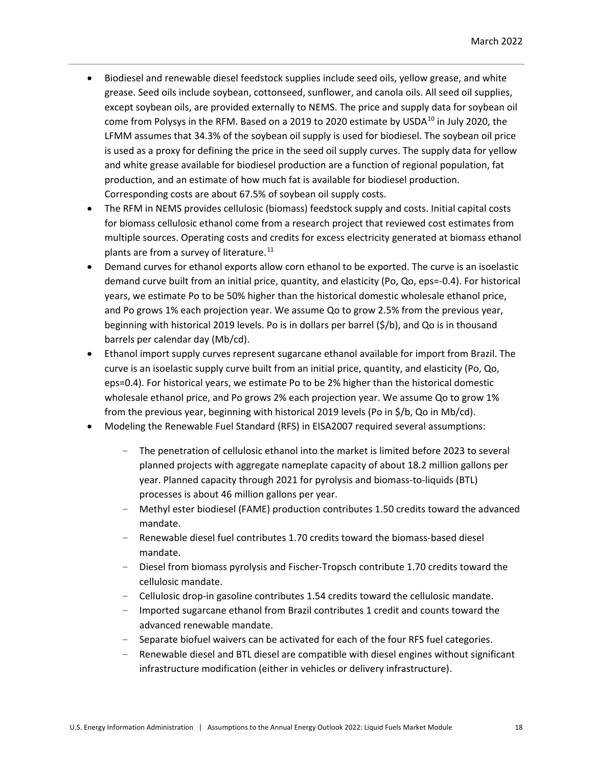- Biodiesel and renewable diesel feedstock supplies include seed oils, yellow grease, and white grease. Seed oils include soybean, cottonseed, sunflower, and canola oils. All seed oil supplies, except soybean oils, are provided externally to NEMS. The price and supply data for soybean oil come from Polysys in the RFM. Based on a 2019 to 2020 estimate by USDA $^{10}$  $^{10}$  $^{10}$  in July 2020, the LFMM assumes that 34.3% of the soybean oil supply is used for biodiesel. The soybean oil price is used as a proxy for defining the price in the seed oil supply curves. The supply data for yellow and white grease available for biodiesel production are a function of regional population, fat production, and an estimate of how much fat is available for biodiesel production. Corresponding costs are about 67.5% of soybean oil supply costs.
- The RFM in NEMS provides cellulosic (biomass) feedstock supply and costs. Initial capital costs for biomass cellulosic ethanol come from a research project that reviewed cost estimates from multiple sources. Operating costs and credits for excess electricity generated at biomass ethanol plants are from a survey of literature.<sup>[11](#page-21-10)</sup>
- Demand curves for ethanol exports allow corn ethanol to be exported. The curve is an isoelastic demand curve built from an initial price, quantity, and elasticity (Po, Qo, eps=-0.4). For historical years, we estimate Po to be 50% higher than the historical domestic wholesale ethanol price, and Po grows 1% each projection year. We assume Qo to grow 2.5% from the previous year, beginning with historical 2019 levels. Po is in dollars per barrel (\$/b), and Qo is in thousand barrels per calendar day (Mb/cd).
- Ethanol import supply curves represent sugarcane ethanol available for import from Brazil. The curve is an isoelastic supply curve built from an initial price, quantity, and elasticity (Po, Qo, eps=0.4). For historical years, we estimate Po to be 2% higher than the historical domestic wholesale ethanol price, and Po grows 2% each projection year. We assume Qo to grow 1% from the previous year, beginning with historical 2019 levels (Po in \$/b, Qo in Mb/cd).
- Modeling the Renewable Fuel Standard (RFS) in EISA2007 required several assumptions:
	- The penetration of cellulosic ethanol into the market is limited before 2023 to several planned projects with aggregate nameplate capacity of about 18.2 million gallons per year. Planned capacity through 2021 for pyrolysis and biomass-to-liquids (BTL) processes is about 46 million gallons per year.
	- Methyl ester biodiesel (FAME) production contributes 1.50 credits toward the advanced mandate.
	- Renewable diesel fuel contributes 1.70 credits toward the biomass-based diesel mandate.
	- Diesel from biomass pyrolysis and Fischer-Tropsch contribute 1.70 credits toward the cellulosic mandate.
	- Cellulosic drop-in gasoline contributes 1.54 credits toward the cellulosic mandate.
	- Imported sugarcane ethanol from Brazil contributes 1 credit and counts toward the advanced renewable mandate.
	- Separate biofuel waivers can be activated for each of the four RFS fuel categories.
	- Renewable diesel and BTL diesel are compatible with diesel engines without significant infrastructure modification (either in vehicles or delivery infrastructure).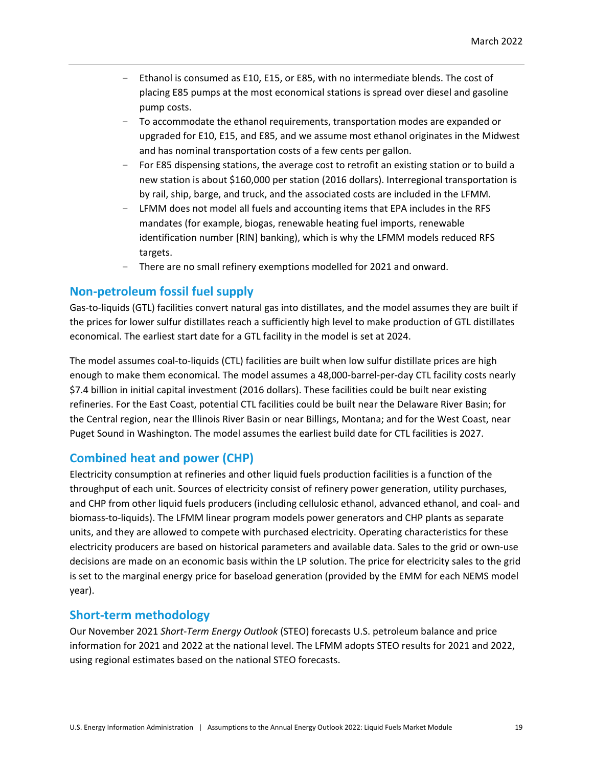- Ethanol is consumed as E10, E15, or E85, with no intermediate blends. The cost of placing E85 pumps at the most economical stations is spread over diesel and gasoline pump costs.
- To accommodate the ethanol requirements, transportation modes are expanded or upgraded for E10, E15, and E85, and we assume most ethanol originates in the Midwest and has nominal transportation costs of a few cents per gallon.
- For E85 dispensing stations, the average cost to retrofit an existing station or to build a new station is about \$160,000 per station (2016 dollars). Interregional transportation is by rail, ship, barge, and truck, and the associated costs are included in the LFMM.
- LFMM does not model all fuels and accounting items that EPA includes in the RFS mandates (for example, biogas, renewable heating fuel imports, renewable identification number [RIN] banking), which is why the LFMM models reduced RFS targets.
- There are no small refinery exemptions modelled for 2021 and onward.

# **Non-petroleum fossil fuel supply**

Gas-to-liquids (GTL) facilities convert natural gas into distillates, and the model assumes they are built if the prices for lower sulfur distillates reach a sufficiently high level to make production of GTL distillates economical. The earliest start date for a GTL facility in the model is set at 2024.

The model assumes coal-to-liquids (CTL) facilities are built when low sulfur distillate prices are high enough to make them economical. The model assumes a 48,000-barrel-per-day CTL facility costs nearly \$7.4 billion in initial capital investment (2016 dollars). These facilities could be built near existing refineries. For the East Coast, potential CTL facilities could be built near the Delaware River Basin; for the Central region, near the Illinois River Basin or near Billings, Montana; and for the West Coast, near Puget Sound in Washington. The model assumes the earliest build date for CTL facilities is 2027.

# **Combined heat and power (CHP)**

Electricity consumption at refineries and other liquid fuels production facilities is a function of the throughput of each unit. Sources of electricity consist of refinery power generation, utility purchases, and CHP from other liquid fuels producers (including cellulosic ethanol, advanced ethanol, and coal- and biomass-to-liquids). The LFMM linear program models power generators and CHP plants as separate units, and they are allowed to compete with purchased electricity. Operating characteristics for these electricity producers are based on historical parameters and available data. Sales to the grid or own-use decisions are made on an economic basis within the LP solution. The price for electricity sales to the grid is set to the marginal energy price for baseload generation (provided by the EMM for each NEMS model year).

# **Short-term methodology**

Our November 2021 *Short-Term Energy Outlook* (STEO) forecasts U.S. petroleum balance and price information for 2021 and 2022 at the national level. The LFMM adopts STEO results for 2021 and 2022, using regional estimates based on the national STEO forecasts.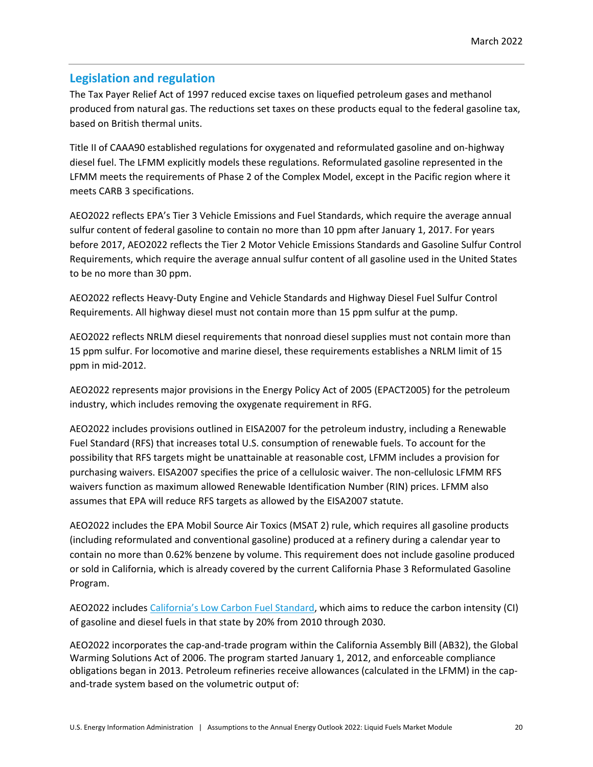# **Legislation and regulation**

The Tax Payer Relief Act of 1997 reduced excise taxes on liquefied petroleum gases and methanol produced from natural gas. The reductions set taxes on these products equal to the federal gasoline tax, based on British thermal units.

Title II of CAAA90 established regulations for oxygenated and reformulated gasoline and on-highway diesel fuel. The LFMM explicitly models these regulations. Reformulated gasoline represented in the LFMM meets the requirements of Phase 2 of the Complex Model, except in the Pacific region where it meets CARB 3 specifications.

AEO2022 reflects EPA's Tier 3 Vehicle Emissions and Fuel Standards, which require the average annual sulfur content of federal gasoline to contain no more than 10 ppm after January 1, 2017. For years before 2017, AEO2022 reflects the Tier 2 Motor Vehicle Emissions Standards and Gasoline Sulfur Control Requirements, which require the average annual sulfur content of all gasoline used in the United States to be no more than 30 ppm.

AEO2022 reflects Heavy-Duty Engine and Vehicle Standards and Highway Diesel Fuel Sulfur Control Requirements. All highway diesel must not contain more than 15 ppm sulfur at the pump.

AEO2022 reflects NRLM diesel requirements that nonroad diesel supplies must not contain more than 15 ppm sulfur. For locomotive and marine diesel, these requirements establishes a NRLM limit of 15 ppm in mid-2012.

AEO2022 represents major provisions in the Energy Policy Act of 2005 (EPACT2005) for the petroleum industry, which includes removing the oxygenate requirement in RFG.

AEO2022 includes provisions outlined in EISA2007 for the petroleum industry, including a Renewable Fuel Standard (RFS) that increases total U.S. consumption of renewable fuels. To account for the possibility that RFS targets might be unattainable at reasonable cost, LFMM includes a provision for purchasing waivers. EISA2007 specifies the price of a cellulosic waiver. The non-cellulosic LFMM RFS waivers function as maximum allowed Renewable Identification Number (RIN) prices. LFMM also assumes that EPA will reduce RFS targets as allowed by the EISA2007 statute.

AEO2022 includes the EPA Mobil Source Air Toxics (MSAT 2) rule, which requires all gasoline products (including reformulated and conventional gasoline) produced at a refinery during a calendar year to contain no more than 0.62% benzene by volume. This requirement does not include gasoline produced or sold in California, which is already covered by the current California Phase 3 Reformulated Gasoline Program.

AEO2022 includes [California's Low Carbon Fuel Standard,](https://ww2.arb.ca.gov/our-work/programs/low-carbon-fuel-standard) which aims to reduce the carbon intensity (CI) of gasoline and diesel fuels in that state by 20% from 2010 through 2030.

AEO2022 incorporates the cap-and-trade program within the California Assembly Bill (AB32), the Global Warming Solutions Act of 2006. The program started January 1, 2012, and enforceable compliance obligations began in 2013. Petroleum refineries receive allowances (calculated in the LFMM) in the capand-trade system based on the volumetric output of: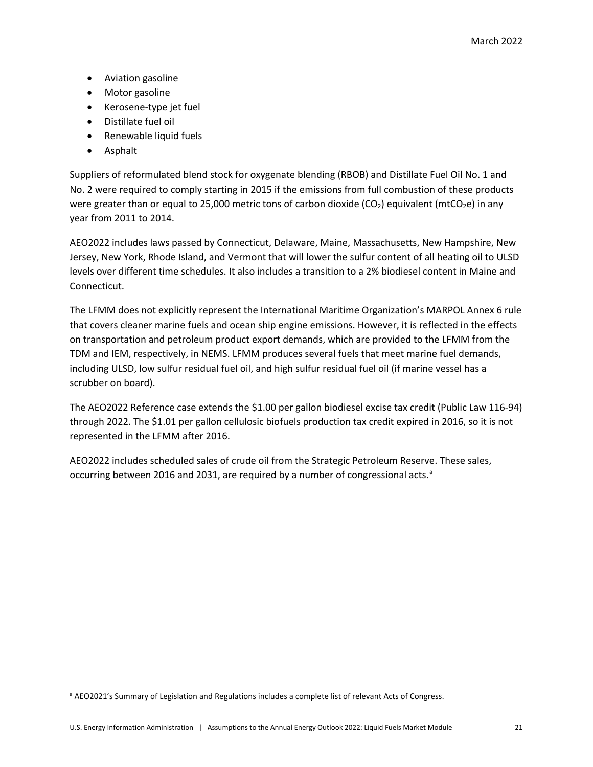- Aviation gasoline
- Motor gasoline
- Kerosene-type jet fuel
- Distillate fuel oil
- Renewable liquid fuels
- Asphalt

Suppliers of reformulated blend stock for oxygenate blending (RBOB) and Distillate Fuel Oil No. 1 and No. 2 were required to comply starting in 2015 if the emissions from full combustion of these products were greater than or equal to 25,000 metric tons of carbon dioxide ( $CO<sub>2</sub>$ ) equivalent (mtCO<sub>2</sub>e) in any year from 2011 to 2014.

AEO2022 includes laws passed by Connecticut, Delaware, Maine, Massachusetts, New Hampshire, New Jersey, New York, Rhode Island, and Vermont that will lower the sulfur content of all heating oil to ULSD levels over different time schedules. It also includes a transition to a 2% biodiesel content in Maine and Connecticut.

The LFMM does not explicitly represent the International Maritime Organization's MARPOL Annex 6 rule that covers cleaner marine fuels and ocean ship engine emissions. However, it is reflected in the effects on transportation and petroleum product export demands, which are provided to the LFMM from the TDM and IEM, respectively, in NEMS. LFMM produces several fuels that meet marine fuel demands, including ULSD, low sulfur residual fuel oil, and high sulfur residual fuel oil (if marine vessel has a scrubber on board).

The AEO2022 Reference case extends the \$1.00 per gallon biodiesel excise tax credit (Public Law 116-94) through 2022. The \$1.01 per gallon cellulosic biofuels production tax credit expired in 2016, so it is not represented in the LFMM after 2016.

AEO2022 includes scheduled sales of crude oil from the Strategic Petroleum Reserve. These sales, occurring between 2016 [a](#page-20-0)nd 2031, are required by a number of congressional acts.<sup>a</sup>

<span id="page-20-0"></span>a AEO2021's Summary of Legislation and Regulations includes a complete list of relevant Acts of Congress.